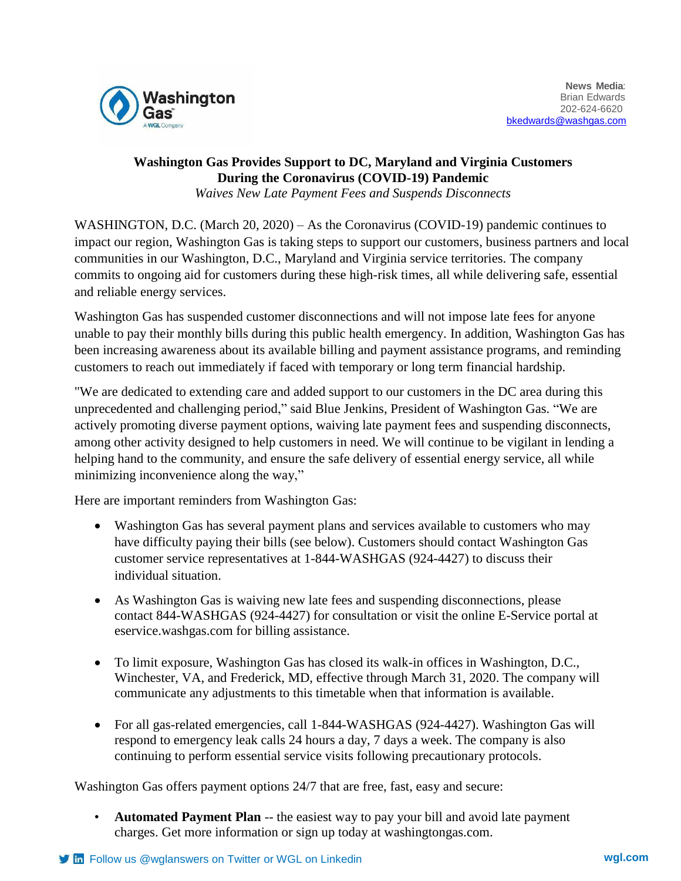

## **Washington Gas Provides Support to DC, Maryland and Virginia Customers During the Coronavirus (COVID-19) Pandemic**

*Waives New Late Payment Fees and Suspends Disconnects*

WASHINGTON, D.C. (March 20, 2020) – As the Coronavirus (COVID-19) pandemic continues to impact our region, Washington Gas is taking steps to support our customers, business partners and local communities in our Washington, D.C., Maryland and Virginia service territories. The company commits to ongoing aid for customers during these high-risk times, all while delivering safe, essential and reliable energy services.

Washington Gas has suspended customer disconnections and will not impose late fees for anyone unable to pay their monthly bills during this public health emergency. In addition, Washington Gas has been increasing awareness about its available billing and payment assistance programs, and reminding customers to reach out immediately if faced with temporary or long term financial hardship.

"We are dedicated to extending care and added support to our customers in the DC area during this unprecedented and challenging period," said Blue Jenkins, President of Washington Gas. "We are actively promoting diverse payment options, waiving late payment fees and suspending disconnects, among other activity designed to help customers in need. We will continue to be vigilant in lending a helping hand to the community, and ensure the safe delivery of essential energy service, all while minimizing inconvenience along the way,"

Here are important reminders from Washington Gas:

- Washington Gas has several payment plans and services available to customers who may have difficulty paying their bills (see below). Customers should contact Washington Gas customer service representatives at 1-844-WASHGAS (924-4427) to discuss their individual situation.
- As Washington Gas is waiving new late fees and suspending disconnections, please contact 844-WASHGAS (924-4427) for consultation or visit the online E-Service portal at eservice.washgas.com for billing assistance.
- To limit exposure, Washington Gas has closed its walk-in offices in Washington, D.C., Winchester, VA, and Frederick, MD, effective through March 31, 2020. The company will communicate any adjustments to this timetable when that information is available.
- For all gas-related emergencies, call 1-844-WASHGAS (924-4427). Washington Gas will respond to emergency leak calls 24 hours a day, 7 days a week. The company is also continuing to perform essential service visits following precautionary protocols.

Washington Gas offers payment options 24/7 that are free, fast, easy and secure:

• **Automated Payment Plan** -- the easiest way to pay your bill and avoid late payment charges. Get more information or sign up today at washingtongas.com.